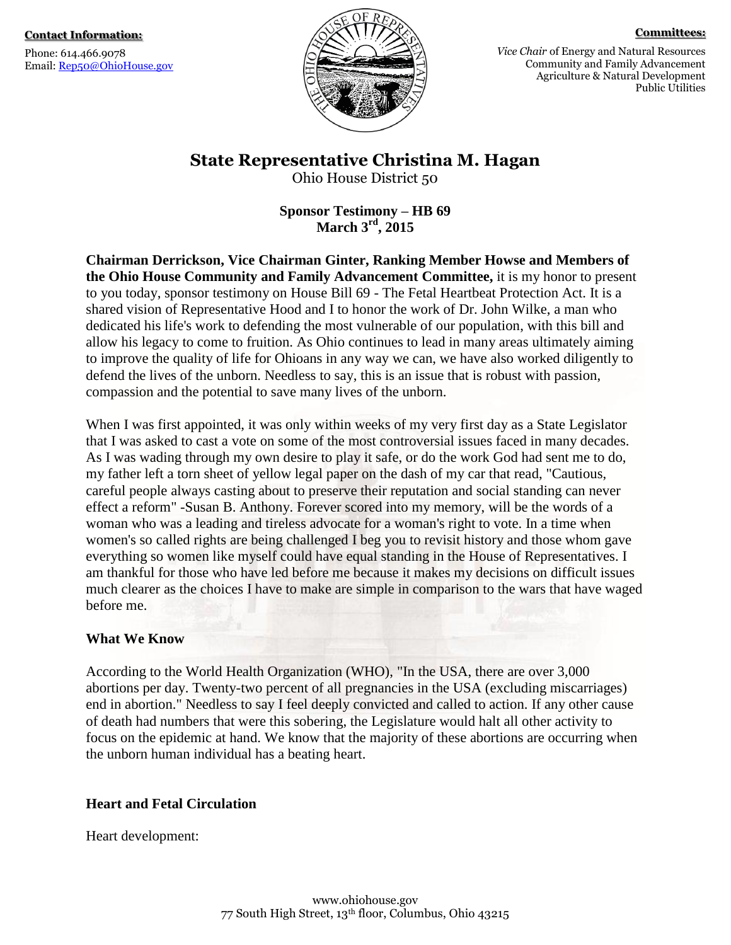Phone: 614.466.9078 Email: [Rep50@OhioHouse.gov](mailto:Rep50@OhioHouse.gov)



#### **Committees:**

*Vice Chair* of Energy and Natural Resources Community and Family Advancement Agriculture & Natural Development Public Utilities

### **State Representative Christina M. Hagan**

Ohio House District 50

**Sponsor Testimony – HB 69 March 3rd, 2015**

**Chairman Derrickson, Vice Chairman Ginter, Ranking Member Howse and Members of the Ohio House Community and Family Advancement Committee,** it is my honor to present to you today, sponsor testimony on House Bill 69 - The Fetal Heartbeat Protection Act. It is a shared vision of Representative Hood and I to honor the work of Dr. John Wilke, a man who dedicated his life's work to defending the most vulnerable of our population, with this bill and allow his legacy to come to fruition. As Ohio continues to lead in many areas ultimately aiming to improve the quality of life for Ohioans in any way we can, we have also worked diligently to defend the lives of the unborn. Needless to say, this is an issue that is robust with passion, compassion and the potential to save many lives of the unborn.

When I was first appointed, it was only within weeks of my very first day as a State Legislator that I was asked to cast a vote on some of the most controversial issues faced in many decades. As I was wading through my own desire to play it safe, or do the work God had sent me to do, my father left a torn sheet of yellow legal paper on the dash of my car that read, "Cautious, careful people always casting about to preserve their reputation and social standing can never effect a reform" -Susan B. Anthony. Forever scored into my memory, will be the words of a woman who was a leading and tireless advocate for a woman's right to vote. In a time when women's so called rights are being challenged I beg you to revisit history and those whom gave everything so women like myself could have equal standing in the House of Representatives. I am thankful for those who have led before me because it makes my decisions on difficult issues much clearer as the choices I have to make are simple in comparison to the wars that have waged before me.

#### **What We Know**

According to the World Health Organization (WHO), "In the USA, there are over 3,000 abortions per day. Twenty-two percent of all pregnancies in the USA (excluding miscarriages) end in abortion." Needless to say I feel deeply convicted and called to action. If any other cause of death had numbers that were this sobering, the Legislature would halt all other activity to focus on the epidemic at hand. We know that the majority of these abortions are occurring when the unborn human individual has a beating heart.

#### **Heart and Fetal Circulation**

Heart development: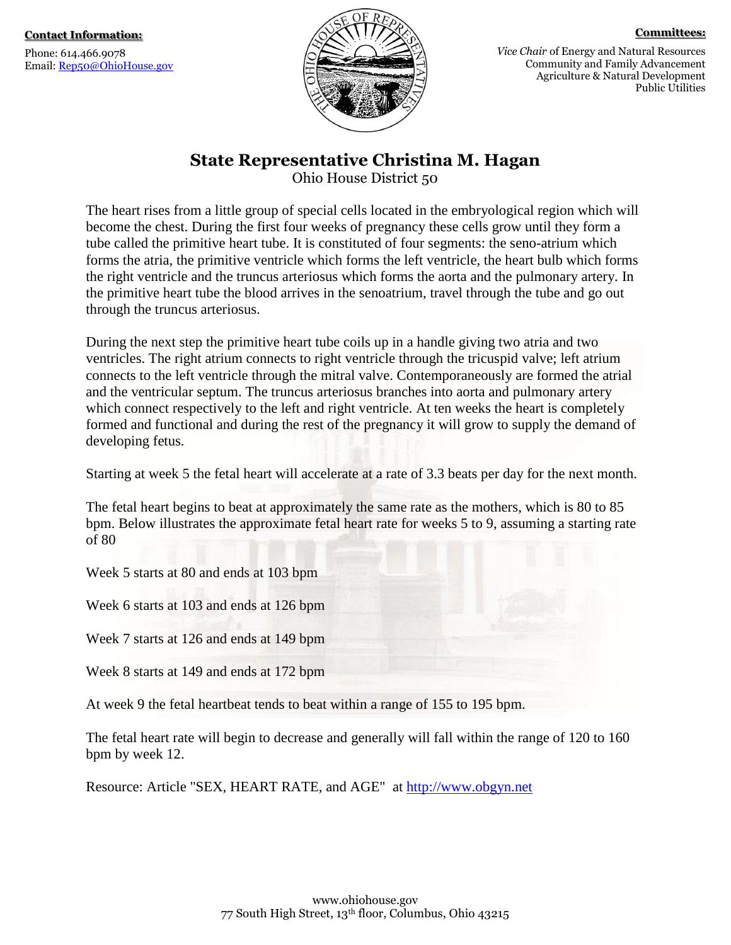Phone: 614.466.9078 Email: [Rep50@OhioHouse.gov](mailto:Rep50@OhioHouse.gov)



**Committees:**

*Vice Chair* of Energy and Natural Resources Community and Family Advancement Agriculture & Natural Development Public Utilities

**State Representative Christina M. Hagan**

Ohio House District 50

The heart rises from a little group of special cells located in the embryological region which will become the chest. During the first four weeks of pregnancy these cells grow until they form a tube called the primitive heart tube. It is constituted of four segments: the seno-atrium which forms the atria, the primitive ventricle which forms the left ventricle, the heart bulb which forms the right ventricle and the truncus arteriosus which forms the aorta and the pulmonary artery. In the primitive heart tube the blood arrives in the senoatrium, travel through the tube and go out through the truncus arteriosus.

During the next step the primitive heart tube coils up in a handle giving two atria and two ventricles. The right atrium connects to right ventricle through the tricuspid valve; left atrium connects to the left ventricle through the mitral valve. Contemporaneously are formed the atrial and the ventricular septum. The truncus arteriosus branches into aorta and pulmonary artery which connect respectively to the left and right ventricle. At ten weeks the heart is completely formed and functional and during the rest of the pregnancy it will grow to supply the demand of developing fetus.

Starting at week 5 the fetal heart will accelerate at a rate of 3.3 beats per day for the next month.

The fetal heart begins to beat at approximately the same rate as the mothers, which is 80 to 85 bpm. Below illustrates the approximate fetal heart rate for weeks 5 to 9, assuming a starting rate of 80

Week 5 starts at 80 and ends at 103 bpm

Week 6 starts at 103 and ends at 126 bpm

Week 7 starts at 126 and ends at 149 bpm

Week 8 starts at 149 and ends at 172 bpm

At week 9 the fetal heartbeat tends to beat within a range of 155 to 195 bpm.

The fetal heart rate will begin to decrease and generally will fall within the range of 120 to 160 bpm by week 12.

Resource: Article "SEX, HEART RATE, and AGE" at [http://www.obgyn.net](http://www.obgyn.net/)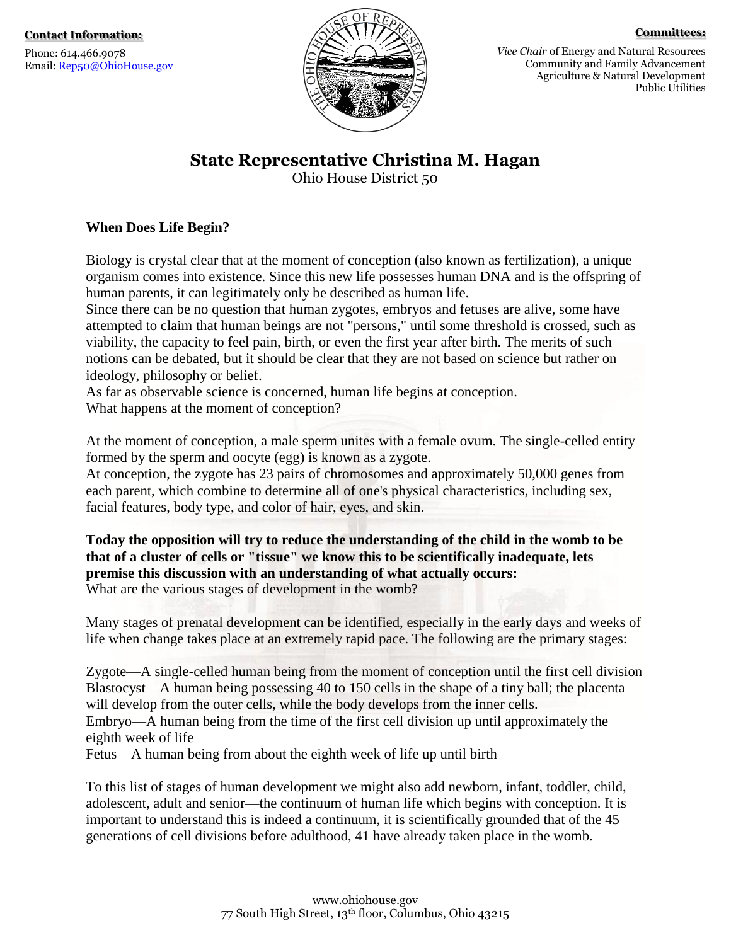Phone: 614.466.9078 Email: [Rep50@OhioHouse.gov](mailto:Rep50@OhioHouse.gov)



#### **Committees:**

*Vice Chair* of Energy and Natural Resources Community and Family Advancement Agriculture & Natural Development Public Utilities

### **State Representative Christina M. Hagan**

Ohio House District 50

#### **When Does Life Begin?**

Biology is crystal clear that at the moment of conception (also known as fertilization), a unique organism comes into existence. Since this new life possesses human DNA and is the offspring of human parents, it can legitimately only be described as human life.

Since there can be no question that human zygotes, embryos and fetuses are alive, some have attempted to claim that human beings are not "persons," until some threshold is crossed, such as viability, the capacity to feel pain, birth, or even the first year after birth. The merits of such notions can be debated, but it should be clear that they are not based on science but rather on ideology, philosophy or belief.

As far as observable science is concerned, human life begins at conception. What happens at the moment of conception?

At the moment of conception, a male sperm unites with a female ovum. The single-celled entity formed by the sperm and oocyte (egg) is known as a zygote.

At conception, the zygote has 23 pairs of chromosomes and approximately 50,000 genes from each parent, which combine to determine all of one's physical characteristics, including sex, facial features, body type, and color of hair, eyes, and skin.

**Today the opposition will try to reduce the understanding of the child in the womb to be that of a cluster of cells or "tissue" we know this to be scientifically inadequate, lets premise this discussion with an understanding of what actually occurs:** What are the various stages of development in the womb?

Many stages of prenatal development can be identified, especially in the early days and weeks of life when change takes place at an extremely rapid pace. The following are the primary stages:

Zygote—A single-celled human being from the moment of conception until the first cell division Blastocyst—A human being possessing 40 to 150 cells in the shape of a tiny ball; the placenta will develop from the outer cells, while the body develops from the inner cells. Embryo—A human being from the time of the first cell division up until approximately the eighth week of life Fetus—A human being from about the eighth week of life up until birth

To this list of stages of human development we might also add newborn, infant, toddler, child, adolescent, adult and senior—the continuum of human life which begins with conception. It is important to understand this is indeed a continuum, it is scientifically grounded that of the 45 generations of cell divisions before adulthood, 41 have already taken place in the womb.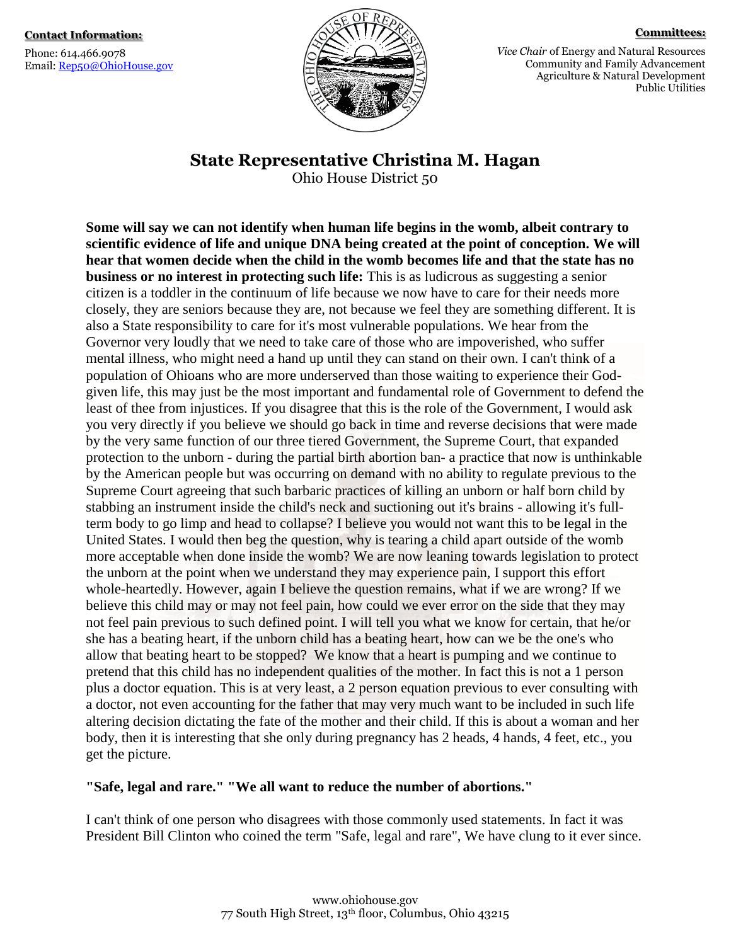Phone: 614.466.9078 Email: [Rep50@OhioHouse.gov](mailto:Rep50@OhioHouse.gov)



**Committees:**

*Vice Chair* of Energy and Natural Resources Community and Family Advancement Agriculture & Natural Development Public Utilities

**State Representative Christina M. Hagan**

Ohio House District 50

**Some will say we can not identify when human life begins in the womb, albeit contrary to scientific evidence of life and unique DNA being created at the point of conception. We will hear that women decide when the child in the womb becomes life and that the state has no business or no interest in protecting such life:** This is as ludicrous as suggesting a senior citizen is a toddler in the continuum of life because we now have to care for their needs more closely, they are seniors because they are, not because we feel they are something different. It is also a State responsibility to care for it's most vulnerable populations. We hear from the Governor very loudly that we need to take care of those who are impoverished, who suffer mental illness, who might need a hand up until they can stand on their own. I can't think of a population of Ohioans who are more underserved than those waiting to experience their Godgiven life, this may just be the most important and fundamental role of Government to defend the least of thee from injustices. If you disagree that this is the role of the Government, I would ask you very directly if you believe we should go back in time and reverse decisions that were made by the very same function of our three tiered Government, the Supreme Court, that expanded protection to the unborn - during the partial birth abortion ban- a practice that now is unthinkable by the American people but was occurring on demand with no ability to regulate previous to the Supreme Court agreeing that such barbaric practices of killing an unborn or half born child by stabbing an instrument inside the child's neck and suctioning out it's brains - allowing it's fullterm body to go limp and head to collapse? I believe you would not want this to be legal in the United States. I would then beg the question, why is tearing a child apart outside of the womb more acceptable when done inside the womb? We are now leaning towards legislation to protect the unborn at the point when we understand they may experience pain, I support this effort whole-heartedly. However, again I believe the question remains, what if we are wrong? If we believe this child may or may not feel pain, how could we ever error on the side that they may not feel pain previous to such defined point. I will tell you what we know for certain, that he/or she has a beating heart, if the unborn child has a beating heart, how can we be the one's who allow that beating heart to be stopped? We know that a heart is pumping and we continue to pretend that this child has no independent qualities of the mother. In fact this is not a 1 person plus a doctor equation. This is at very least, a 2 person equation previous to ever consulting with a doctor, not even accounting for the father that may very much want to be included in such life altering decision dictating the fate of the mother and their child. If this is about a woman and her body, then it is interesting that she only during pregnancy has 2 heads, 4 hands, 4 feet, etc., you get the picture.

### **"Safe, legal and rare." "We all want to reduce the number of abortions."**

I can't think of one person who disagrees with those commonly used statements. In fact it was President Bill Clinton who coined the term "Safe, legal and rare", We have clung to it ever since.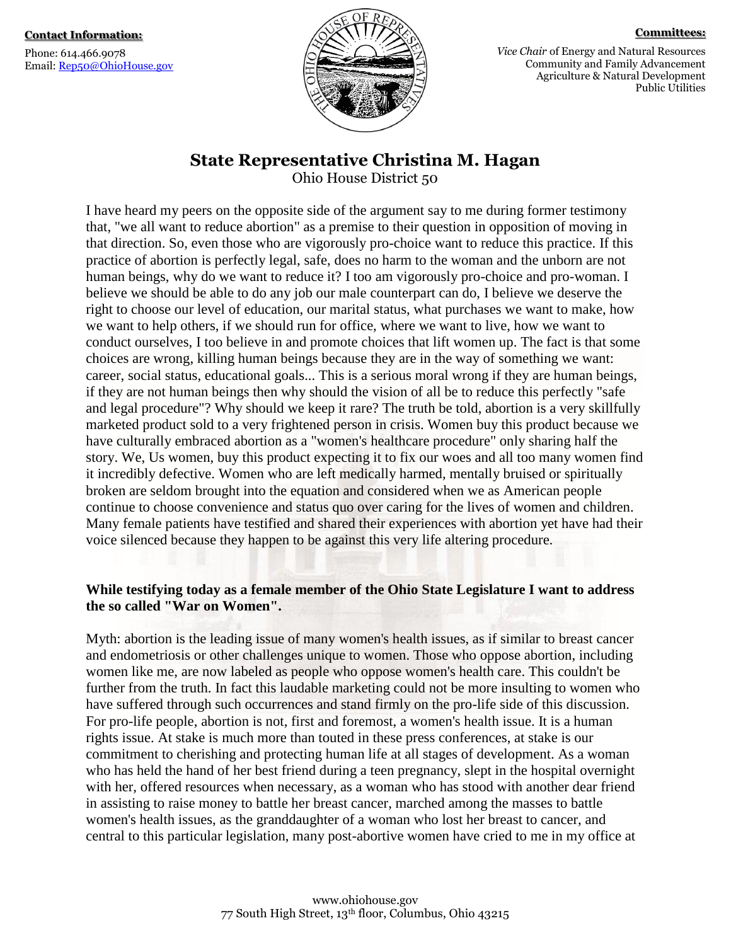Phone: 614.466.9078 Email: [Rep50@OhioHouse.gov](mailto:Rep50@OhioHouse.gov)



**Committees:**

*Vice Chair* of Energy and Natural Resources Community and Family Advancement Agriculture & Natural Development Public Utilities

# **State Representative Christina M. Hagan**

Ohio House District 50

I have heard my peers on the opposite side of the argument say to me during former testimony that, "we all want to reduce abortion" as a premise to their question in opposition of moving in that direction. So, even those who are vigorously pro-choice want to reduce this practice. If this practice of abortion is perfectly legal, safe, does no harm to the woman and the unborn are not human beings, why do we want to reduce it? I too am vigorously pro-choice and pro-woman. I believe we should be able to do any job our male counterpart can do, I believe we deserve the right to choose our level of education, our marital status, what purchases we want to make, how we want to help others, if we should run for office, where we want to live, how we want to conduct ourselves, I too believe in and promote choices that lift women up. The fact is that some choices are wrong, killing human beings because they are in the way of something we want: career, social status, educational goals... This is a serious moral wrong if they are human beings, if they are not human beings then why should the vision of all be to reduce this perfectly "safe and legal procedure"? Why should we keep it rare? The truth be told, abortion is a very skillfully marketed product sold to a very frightened person in crisis. Women buy this product because we have culturally embraced abortion as a "women's healthcare procedure" only sharing half the story. We, Us women, buy this product expecting it to fix our woes and all too many women find it incredibly defective. Women who are left medically harmed, mentally bruised or spiritually broken are seldom brought into the equation and considered when we as American people continue to choose convenience and status quo over caring for the lives of women and children. Many female patients have testified and shared their experiences with abortion yet have had their voice silenced because they happen to be against this very life altering procedure.

#### **While testifying today as a female member of the Ohio State Legislature I want to address the so called "War on Women".**

Myth: abortion is the leading issue of many women's health issues, as if similar to breast cancer and endometriosis or other challenges unique to women. Those who oppose abortion, including women like me, are now labeled as people who oppose women's health care. This couldn't be further from the truth. In fact this laudable marketing could not be more insulting to women who have suffered through such occurrences and stand firmly on the pro-life side of this discussion. For pro-life people, abortion is not, first and foremost, a women's health issue. It is a human rights issue. At stake is much more than touted in these press conferences, at stake is our commitment to cherishing and protecting human life at all stages of development. As a woman who has held the hand of her best friend during a teen pregnancy, slept in the hospital overnight with her, offered resources when necessary, as a woman who has stood with another dear friend in assisting to raise money to battle her breast cancer, marched among the masses to battle women's health issues, as the granddaughter of a woman who lost her breast to cancer, and central to this particular legislation, many post-abortive women have cried to me in my office at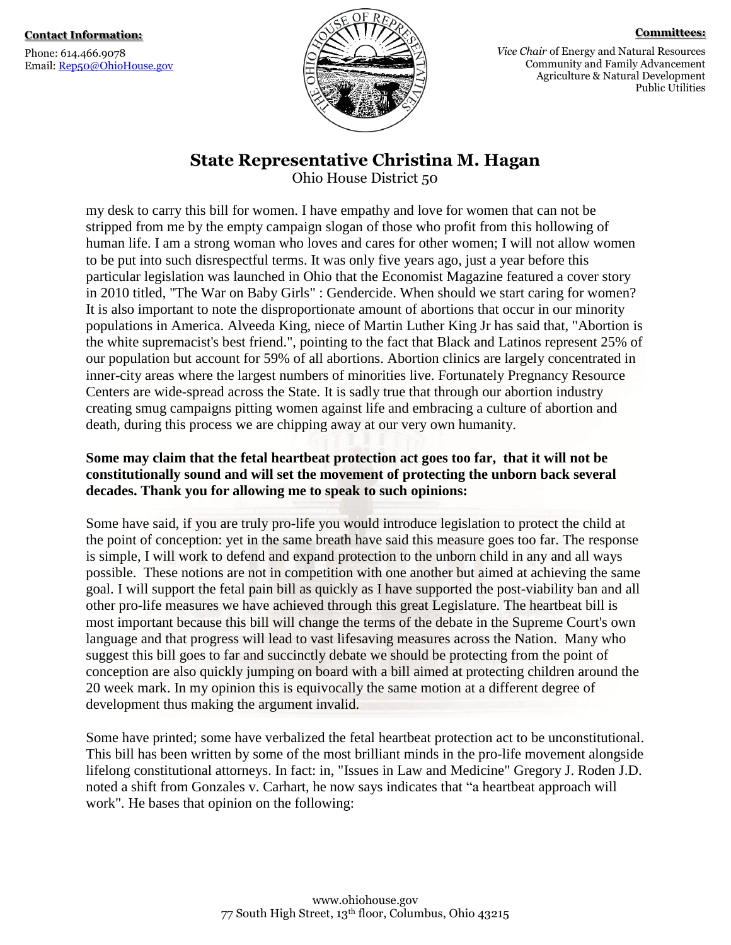Phone: 614.466.9078 Email: [Rep50@OhioHouse.gov](mailto:Rep50@OhioHouse.gov)



**Committees:**

*Vice Chair* of Energy and Natural Resources Community and Family Advancement Agriculture & Natural Development Public Utilities

## **State Representative Christina M. Hagan**

Ohio House District 50

my desk to carry this bill for women. I have empathy and love for women that can not be stripped from me by the empty campaign slogan of those who profit from this hollowing of human life. I am a strong woman who loves and cares for other women; I will not allow women to be put into such disrespectful terms. It was only five years ago, just a year before this particular legislation was launched in Ohio that the Economist Magazine featured a cover story in 2010 titled, "The War on Baby Girls" : Gendercide. When should we start caring for women? It is also important to note the disproportionate amount of abortions that occur in our minority populations in America. Alveeda King, niece of Martin Luther King Jr has said that, "Abortion is the white supremacist's best friend.", pointing to the fact that Black and Latinos represent 25% of our population but account for 59% of all abortions. Abortion clinics are largely concentrated in inner-city areas where the largest numbers of minorities live. Fortunately Pregnancy Resource Centers are wide-spread across the State. It is sadly true that through our abortion industry creating smug campaigns pitting women against life and embracing a culture of abortion and death, during this process we are chipping away at our very own humanity.

### **Some may claim that the fetal heartbeat protection act goes too far, that it will not be constitutionally sound and will set the movement of protecting the unborn back several decades. Thank you for allowing me to speak to such opinions:**

Some have said, if you are truly pro-life you would introduce legislation to protect the child at the point of conception: yet in the same breath have said this measure goes too far. The response is simple, I will work to defend and expand protection to the unborn child in any and all ways possible. These notions are not in competition with one another but aimed at achieving the same goal. I will support the fetal pain bill as quickly as I have supported the post-viability ban and all other pro-life measures we have achieved through this great Legislature. The heartbeat bill is most important because this bill will change the terms of the debate in the Supreme Court's own language and that progress will lead to vast lifesaving measures across the Nation. Many who suggest this bill goes to far and succinctly debate we should be protecting from the point of conception are also quickly jumping on board with a bill aimed at protecting children around the 20 week mark. In my opinion this is equivocally the same motion at a different degree of development thus making the argument invalid.

Some have printed; some have verbalized the fetal heartbeat protection act to be unconstitutional. This bill has been written by some of the most brilliant minds in the pro-life movement alongside lifelong constitutional attorneys. In fact: in, "Issues in Law and Medicine" Gregory J. Roden J.D. noted a shift from Gonzales v. Carhart, he now says indicates that "a heartbeat approach will work". He bases that opinion on the following: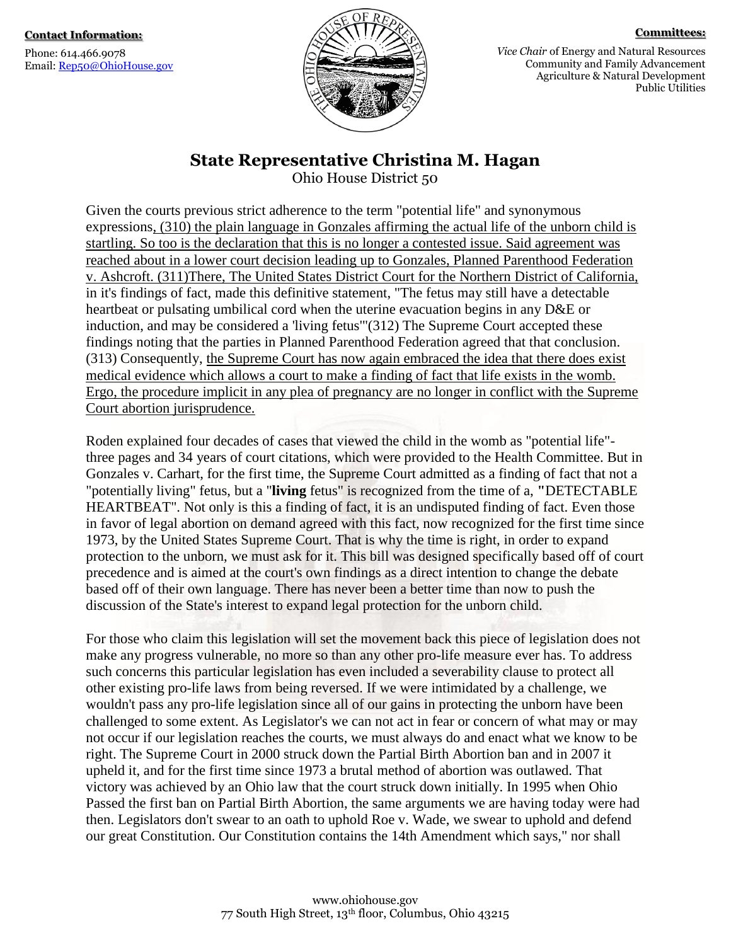Phone: 614.466.9078 Email: [Rep50@OhioHouse.gov](mailto:Rep50@OhioHouse.gov)



**Committees:**

*Vice Chair* of Energy and Natural Resources Community and Family Advancement Agriculture & Natural Development Public Utilities

### **State Representative Christina M. Hagan**

Ohio House District 50

Given the courts previous strict adherence to the term "potential life" and synonymous expressions, (310) the plain language in Gonzales affirming the actual life of the unborn child is startling. So too is the declaration that this is no longer a contested issue. Said agreement was reached about in a lower court decision leading up to Gonzales, Planned Parenthood Federation v. Ashcroft. (311)There, The United States District Court for the Northern District of California, in it's findings of fact, made this definitive statement, "The fetus may still have a detectable heartbeat or pulsating umbilical cord when the uterine evacuation begins in any D&E or induction, and may be considered a 'living fetus'"(312) The Supreme Court accepted these findings noting that the parties in Planned Parenthood Federation agreed that that conclusion. (313) Consequently, the Supreme Court has now again embraced the idea that there does exist medical evidence which allows a court to make a finding of fact that life exists in the womb. Ergo, the procedure implicit in any plea of pregnancy are no longer in conflict with the Supreme Court abortion jurisprudence.

Roden explained four decades of cases that viewed the child in the womb as "potential life" three pages and 34 years of court citations, which were provided to the Health Committee. But in Gonzales v. Carhart, for the first time, the Supreme Court admitted as a finding of fact that not a "potentially living" fetus, but a "**living** fetus" is recognized from the time of a, **"**DETECTABLE HEARTBEAT". Not only is this a finding of fact, it is an undisputed finding of fact. Even those in favor of legal abortion on demand agreed with this fact, now recognized for the first time since 1973, by the United States Supreme Court. That is why the time is right, in order to expand protection to the unborn, we must ask for it. This bill was designed specifically based off of court precedence and is aimed at the court's own findings as a direct intention to change the debate based off of their own language. There has never been a better time than now to push the discussion of the State's interest to expand legal protection for the unborn child.

For those who claim this legislation will set the movement back this piece of legislation does not make any progress vulnerable, no more so than any other pro-life measure ever has. To address such concerns this particular legislation has even included a severability clause to protect all other existing pro-life laws from being reversed. If we were intimidated by a challenge, we wouldn't pass any pro-life legislation since all of our gains in protecting the unborn have been challenged to some extent. As Legislator's we can not act in fear or concern of what may or may not occur if our legislation reaches the courts, we must always do and enact what we know to be right. The Supreme Court in 2000 struck down the Partial Birth Abortion ban and in 2007 it upheld it, and for the first time since 1973 a brutal method of abortion was outlawed. That victory was achieved by an Ohio law that the court struck down initially. In 1995 when Ohio Passed the first ban on Partial Birth Abortion, the same arguments we are having today were had then. Legislators don't swear to an oath to uphold Roe v. Wade, we swear to uphold and defend our great Constitution. Our Constitution contains the 14th Amendment which says," nor shall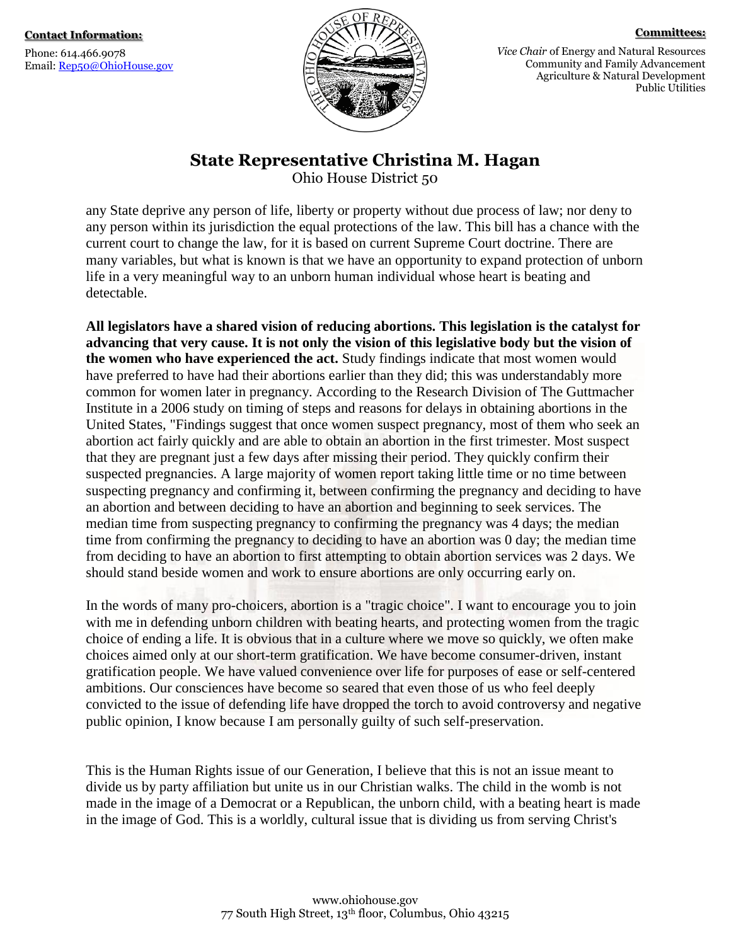Phone: 614.466.9078 Email: [Rep50@OhioHouse.gov](mailto:Rep50@OhioHouse.gov)



**Committees:**

*Vice Chair* of Energy and Natural Resources Community and Family Advancement Agriculture & Natural Development Public Utilities

## **State Representative Christina M. Hagan**

Ohio House District 50

any State deprive any person of life, liberty or property without due process of law; nor deny to any person within its jurisdiction the equal protections of the law. This bill has a chance with the current court to change the law, for it is based on current Supreme Court doctrine. There are many variables, but what is known is that we have an opportunity to expand protection of unborn life in a very meaningful way to an unborn human individual whose heart is beating and detectable.

**All legislators have a shared vision of reducing abortions. This legislation is the catalyst for advancing that very cause. It is not only the vision of this legislative body but the vision of the women who have experienced the act.** Study findings indicate that most women would have preferred to have had their abortions earlier than they did; this was understandably more common for women later in pregnancy. According to the Research Division of The Guttmacher Institute in a 2006 study on timing of steps and reasons for delays in obtaining abortions in the United States, "Findings suggest that once women suspect pregnancy, most of them who seek an abortion act fairly quickly and are able to obtain an abortion in the first trimester. Most suspect that they are pregnant just a few days after missing their period. They quickly confirm their suspected pregnancies. A large majority of women report taking little time or no time between suspecting pregnancy and confirming it, between confirming the pregnancy and deciding to have an abortion and between deciding to have an abortion and beginning to seek services. The median time from suspecting pregnancy to confirming the pregnancy was 4 days; the median time from confirming the pregnancy to deciding to have an abortion was 0 day; the median time from deciding to have an abortion to first attempting to obtain abortion services was 2 days. We should stand beside women and work to ensure abortions are only occurring early on.

In the words of many pro-choicers, abortion is a "tragic choice". I want to encourage you to join with me in defending unborn children with beating hearts, and protecting women from the tragic choice of ending a life. It is obvious that in a culture where we move so quickly, we often make choices aimed only at our short-term gratification. We have become consumer-driven, instant gratification people. We have valued convenience over life for purposes of ease or self-centered ambitions. Our consciences have become so seared that even those of us who feel deeply convicted to the issue of defending life have dropped the torch to avoid controversy and negative public opinion, I know because I am personally guilty of such self-preservation.

This is the Human Rights issue of our Generation, I believe that this is not an issue meant to divide us by party affiliation but unite us in our Christian walks. The child in the womb is not made in the image of a Democrat or a Republican, the unborn child, with a beating heart is made in the image of God. This is a worldly, cultural issue that is dividing us from serving Christ's